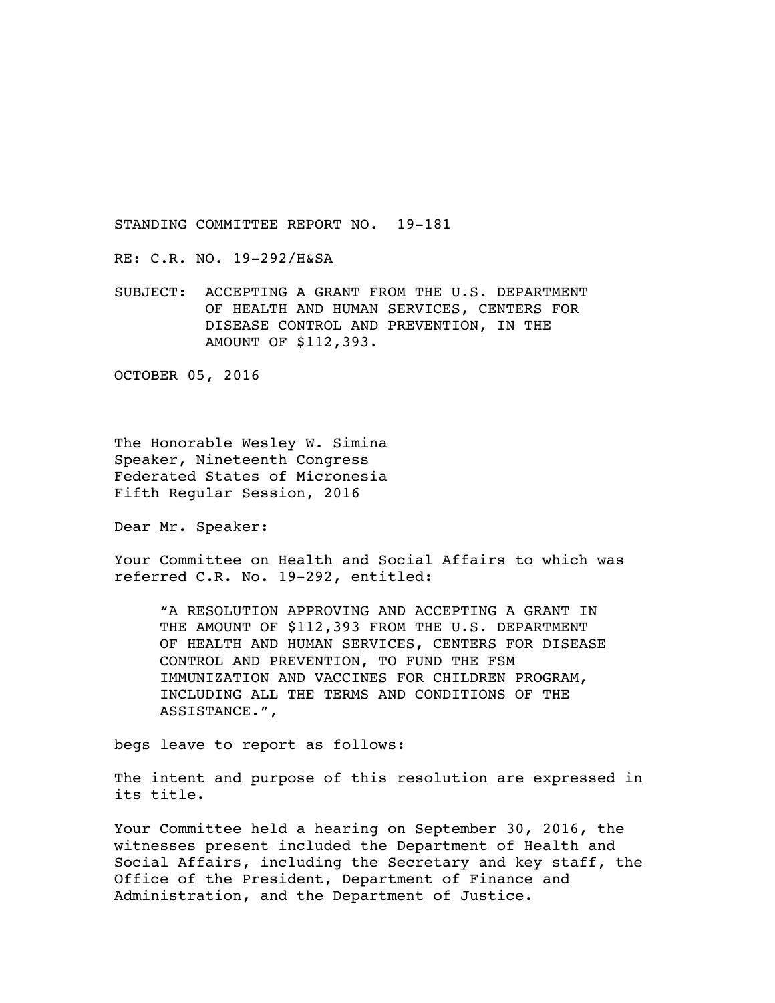STANDING COMMITTEE REPORT NO. 19-181

RE: C.R. NO. 19-292/H&SA

SUBJECT: ACCEPTING A GRANT FROM THE U.S. DEPARTMENT OF HEALTH AND HUMAN SERVICES, CENTERS FOR DISEASE CONTROL AND PREVENTION, IN THE AMOUNT OF \$112,393.

OCTOBER 05, 2016

The Honorable Wesley W. Simina Speaker, Nineteenth Congress Federated States of Micronesia Fifth Regular Session, 2016

Dear Mr. Speaker:

Your Committee on Health and Social Affairs to which was referred C.R. No. 19-292, entitled:

"A RESOLUTION APPROVING AND ACCEPTING A GRANT IN THE AMOUNT OF \$112,393 FROM THE U.S. DEPARTMENT OF HEALTH AND HUMAN SERVICES, CENTERS FOR DISEASE CONTROL AND PREVENTION, TO FUND THE FSM IMMUNIZATION AND VACCINES FOR CHILDREN PROGRAM, INCLUDING ALL THE TERMS AND CONDITIONS OF THE ASSISTANCE.",

begs leave to report as follows:

The intent and purpose of this resolution are expressed in its title.

Your Committee held a hearing on September 30, 2016, the witnesses present included the Department of Health and Social Affairs, including the Secretary and key staff, the Office of the President, Department of Finance and Administration, and the Department of Justice.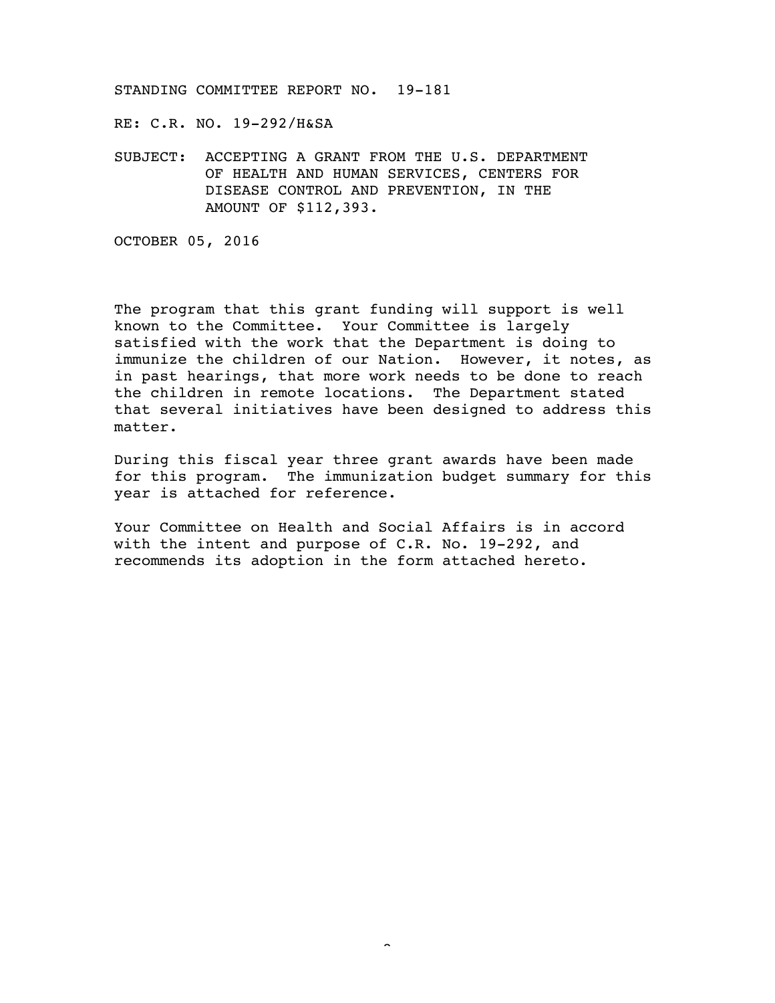STANDING COMMITTEE REPORT NO. 19-181

RE: C.R. NO. 19-292/H&SA

SUBJECT: ACCEPTING A GRANT FROM THE U.S. DEPARTMENT OF HEALTH AND HUMAN SERVICES, CENTERS FOR DISEASE CONTROL AND PREVENTION, IN THE AMOUNT OF \$112,393.

OCTOBER 05, 2016

The program that this grant funding will support is well known to the Committee. Your Committee is largely satisfied with the work that the Department is doing to immunize the children of our Nation. However, it notes, as in past hearings, that more work needs to be done to reach the children in remote locations. The Department stated that several initiatives have been designed to address this matter.

During this fiscal year three grant awards have been made for this program. The immunization budget summary for this year is attached for reference.

Your Committee on Health and Social Affairs is in accord with the intent and purpose of C.R. No. 19-292, and recommends its adoption in the form attached hereto.